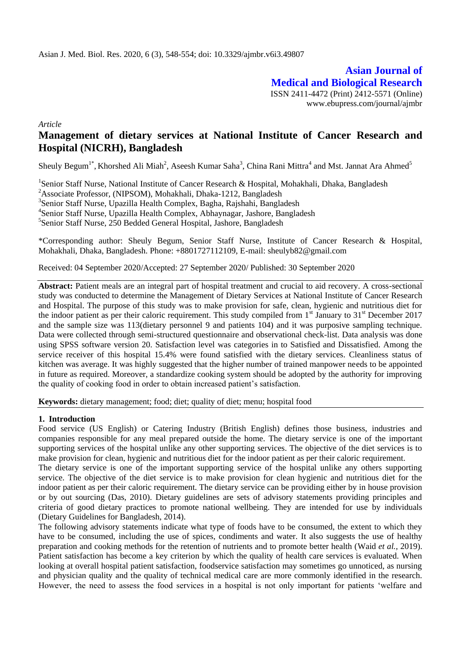**Asian Journal of Medical and Biological Research** ISSN 2411-4472 (Print) 2412-5571 (Online) www.ebupress.com/journal/ajmbr

*Article*

# **Management of dietary services at National Institute of Cancer Research and Hospital (NICRH), Bangladesh**

Sheuly Begum<sup>1\*</sup>, Khorshed Ali Miah<sup>2</sup>, Aseesh Kumar Saha<sup>3</sup>, China Rani Mittra<sup>4</sup> and Mst. Jannat Ara Ahmed<sup>5</sup>

<sup>1</sup>Senior Staff Nurse, National Institute of Cancer Research & Hospital, Mohakhali, Dhaka, Bangladesh <sup>2</sup>Associate Professor, (NIPSOM), Mohakhali, Dhaka-1212, Bangladesh

<sup>3</sup>Senior Staff Nurse, Upazilla Health Complex, Bagha, Rajshahi, Bangladesh

4 Senior Staff Nurse, Upazilla Health Complex, Abhaynagar, Jashore, Bangladesh

5 Senior Staff Nurse, 250 Bedded General Hospital, Jashore, Bangladesh

\*Corresponding author: Sheuly Begum, Senior Staff Nurse, Institute of Cancer Research & Hospital, Mohakhali, Dhaka, Bangladesh. Phone: +8801727112109, E-mail: sheulyb82@gmail.com

Received: 04 September 2020/Accepted: 27 September 2020/ Published: 30 September 2020

**Abstract:** Patient meals are an integral part of hospital treatment and crucial to aid recovery. A cross-sectional study was conducted to determine the Management of Dietary Services at National Institute of Cancer Research and Hospital. The purpose of this study was to make provision for safe, clean, hygienic and nutritious diet for the indoor patient as per their caloric requirement. This study compiled from  $1<sup>st</sup>$  January to  $31<sup>st</sup>$  December 2017 and the sample size was 113(dietary personnel 9 and patients 104) and it was purposive sampling technique. Data were collected through semi-structured questionnaire and observational check-list. Data analysis was done using SPSS software version 20. Satisfaction level was categories in to Satisfied and Dissatisfied. Among the service receiver of this hospital 15.4% were found satisfied with the dietary services. Cleanliness status of kitchen was average. It was highly suggested that the higher number of trained manpower needs to be appointed in future as required. Moreover, a standardize cooking system should be adopted by the authority for improving the quality of cooking food in order to obtain increased patient's satisfaction.

**Keywords:** dietary management; food; diet; quality of diet; menu; hospital food

# **1. Introduction**

Food service (US English) or Catering Industry (British English) defines those business, industries and companies responsible for any meal prepared outside the home. The dietary service is one of the important supporting services of the hospital unlike any other supporting services. The objective of the diet services is to make provision for clean, hygienic and nutritious diet for the indoor patient as per their caloric requirement.

The dietary service is one of the important supporting service of the hospital unlike any others supporting service. The objective of the diet service is to make provision for clean hygienic and nutritious diet for the indoor patient as per their caloric requirement. The dietary service can be providing either by in house provision or by out sourcing (Das, 2010). Dietary guidelines are sets of advisory statements providing principles and criteria of good dietary practices to promote national wellbeing. They are intended for use by individuals (Dietary Guidelines for Bangladesh, 2014).

The following advisory statements indicate what type of foods have to be consumed, the extent to which they have to be consumed, including the use of spices, condiments and water. It also suggests the use of healthy preparation and cooking methods for the retention of nutrients and to promote better health (Waid *et al.,* 2019). Patient satisfaction has become a key criterion by which the quality of health care services is evaluated. When looking at overall hospital patient satisfaction, foodservice satisfaction may sometimes go unnoticed, as nursing and physician quality and the quality of technical medical care are more commonly identified in the research. However, the need to assess the food services in a hospital is not only important for patients 'welfare and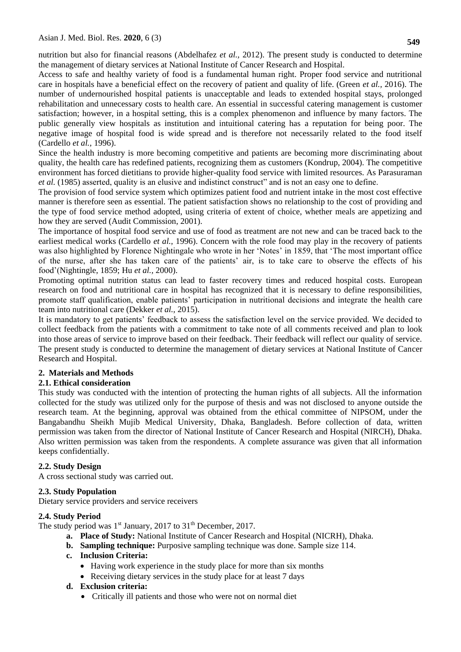nutrition but also for financial reasons (Abdelhafez *et al.,* 2012). The present study is conducted to determine the management of dietary services at National Institute of Cancer Research and Hospital.

Access to safe and healthy variety of food is a fundamental human right. Proper food service and nutritional care in hospitals have a beneficial effect on the recovery of patient and quality of life. (Green *et al.,* 2016). The number of undernourished hospital patients is unacceptable and leads to extended hospital stays, prolonged rehabilitation and unnecessary costs to health care. An essential in successful catering management is customer satisfaction; however, in a hospital setting, this is a complex phenomenon and influence by many factors. The public generally view hospitals as institution and intuitional catering has a reputation for being poor. The negative image of hospital food is wide spread and is therefore not necessarily related to the food itself (Cardello *et al.,* 1996).

Since the health industry is more becoming competitive and patients are becoming more discriminating about quality, the health care has redefined patients, recognizing them as customers (Kondrup, 2004). The competitive environment has forced dietitians to provide higher-quality food service with limited resources. As Parasuraman *et al.* (1985) asserted, quality is an elusive and indistinct construct" and is not an easy one to define.

The provision of food service system which optimizes patient food and nutrient intake in the most cost effective manner is therefore seen as essential. The patient satisfaction shows no relationship to the cost of providing and the type of food service method adopted, using criteria of extent of choice, whether meals are appetizing and how they are served (Audit Commission, 2001).

The importance of hospital food service and use of food as treatment are not new and can be traced back to the earliest medical works (Cardello *et al.,* 1996). Concern with the role food may play in the recovery of patients was also highlighted by Florence Nightingale who wrote in her 'Notes' in 1859, that 'The most important office of the nurse, after she has taken care of the patients' air, is to take care to observe the effects of his food'(Nightingle, 1859; Hu *et al.,* 2000).

Promoting optimal nutrition status can lead to faster recovery times and reduced hospital costs. European research on food and nutritional care in hospital has recognized that it is necessary to define responsibilities, promote staff qualification, enable patients' participation in nutritional decisions and integrate the health care team into nutritional care (Dekker *et al.,* 2015).

It is mandatory to get patients' feedback to assess the satisfaction level on the service provided. We decided to collect feedback from the patients with a commitment to take note of all comments received and plan to look into those areas of service to improve based on their feedback. Their feedback will reflect our quality of service. The present study is conducted to determine the management of dietary services at National Institute of Cancer Research and Hospital.

# **2. Materials and Methods**

# **2.1. Ethical consideration**

This study was conducted with the intention of protecting the human rights of all subjects. All the information collected for the study was utilized only for the purpose of thesis and was not disclosed to anyone outside the research team. At the beginning, approval was obtained from the ethical committee of NIPSOM, under the Bangabandhu Sheikh Mujib Medical University, Dhaka, Bangladesh. Before collection of data, written permission was taken from the director of National Institute of Cancer Research and Hospital (NIRCH), Dhaka. Also written permission was taken from the respondents. A complete assurance was given that all information keeps confidentially.

# **2.2. Study Design**

A cross sectional study was carried out.

# **2.3. Study Population**

Dietary service providers and service receivers

# **2.4. Study Period**

The study period was  $1<sup>st</sup>$  January, 2017 to 31<sup>th</sup> December, 2017.

- **a. Place of Study:** National Institute of Cancer Research and Hospital (NICRH), Dhaka.
- **b. Sampling technique:** Purposive sampling technique was done. Sample size 114.
- **c. Inclusion Criteria:**
	- Having work experience in the study place for more than six months
	- Receiving dietary services in the study place for at least 7 days

# **d. Exclusion criteria:**

Critically ill patients and those who were not on normal diet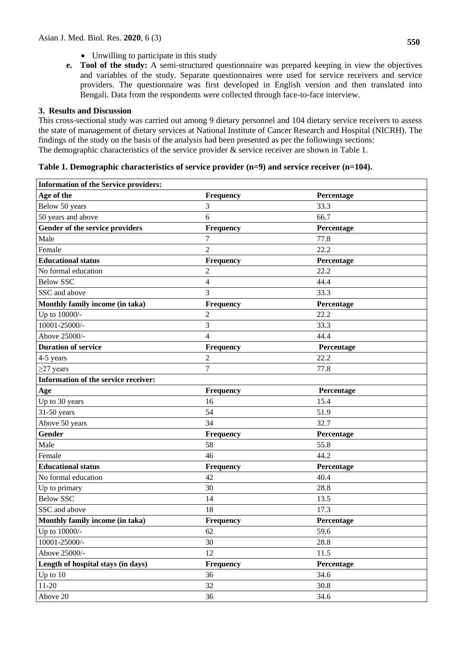- Unwilling to participate in this study
- **e. Tool of the study:** A semi-structured questionnaire was prepared keeping in view the objectives and variables of the study. Separate questionnaires were used for service receivers and service providers. The questionnaire was first developed in English version and then translated into Bengali. Data from the respondents were collected through face-to-face interview.

# **3. Results and Discussion**

This cross-sectional study was carried out among 9 dietary personnel and 104 dietary service receivers to assess the state of management of dietary services at National Institute of Cancer Research and Hospital (NICRH). The findings of the study on the basis of the analysis had been presented as per the followings sections: The demographic characteristics of the service provider  $\&$  service receiver are shown in Table 1.

**Table 1. Demographic characteristics of service provider (n=9) and service receiver (n=104).**

| <b>Information of the Service providers:</b> |                  |            |  |
|----------------------------------------------|------------------|------------|--|
| Age of the                                   | <b>Frequency</b> | Percentage |  |
| Below 50 years                               | 3                | 33.3       |  |
| 50 years and above                           | 6                | 66.7       |  |
| Gender of the service providers              | <b>Frequency</b> | Percentage |  |
| Male                                         | 7                | 77.8       |  |
| Female                                       | $\overline{2}$   | 22.2       |  |
| <b>Educational status</b>                    | Frequency        | Percentage |  |
| No formal education                          | $\overline{c}$   | 22.2       |  |
| <b>Below SSC</b>                             | $\overline{4}$   | 44.4       |  |
| SSC and above                                | 3                | 33.3       |  |
| Monthly family income (in taka)              | Frequency        | Percentage |  |
| Up to 10000/-                                | $\overline{c}$   | 22.2       |  |
| 10001-25000/-                                | 3                | 33.3       |  |
| Above 25000/-                                | 4                | 44.4       |  |
| <b>Duration of service</b>                   | <b>Frequency</b> | Percentage |  |
| 4-5 years                                    | 2                | 22.2       |  |
| $\geq$ 27 years                              | 7                | 77.8       |  |
| Information of the service receiver:         |                  |            |  |
| Age                                          | <b>Frequency</b> | Percentage |  |
| Up to 30 years                               | 16               | 15.4       |  |
| 31-50 years                                  | 54               | 51.9       |  |
| Above 50 years                               | 34               | 32.7       |  |
| Gender                                       | Frequency        | Percentage |  |
| Male                                         | 58               | 55.8       |  |
| Female                                       | 46               | 44.2       |  |
| <b>Educational status</b>                    | <b>Frequency</b> | Percentage |  |
| No formal education                          | 42               | 40.4       |  |
| Up to primary                                | 30               | 28.8       |  |
| <b>Below SSC</b>                             | 14               | 13.5       |  |
| SSC and above                                | 18               | 17.3       |  |
| Monthly family income (in taka)              | <b>Frequency</b> | Percentage |  |
| Up to 10000/-                                | 62               | 59.6       |  |
| 10001-25000/-                                | 30               | 28.8       |  |
| Above 25000/-                                | 12               | 11.5       |  |
| Length of hospital stays (in days)           | Frequency        | Percentage |  |
| Up to $10$                                   | 36               | 34.6       |  |
| $11-20$                                      | 32               | 30.8       |  |
| Above 20                                     | 36               | 34.6       |  |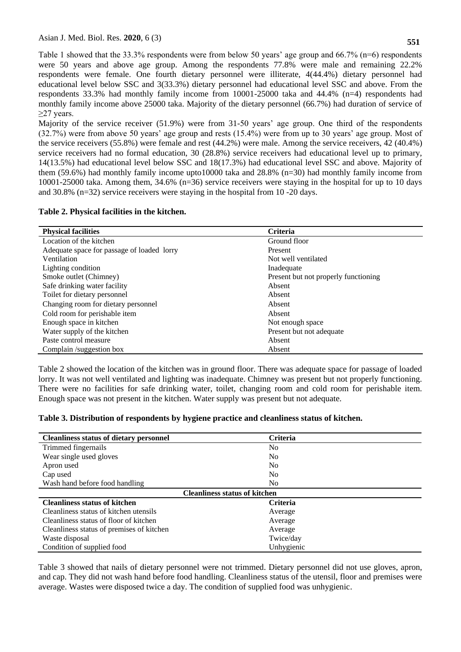Table 1 showed that the 33.3% respondents were from below 50 years' age group and 66.7% (n=6) respondents were 50 years and above age group. Among the respondents 77.8% were male and remaining 22.2% respondents were female. One fourth dietary personnel were illiterate, 4(44.4%) dietary personnel had educational level below SSC and 3(33.3%) dietary personnel had educational level SSC and above. From the respondents 33.3% had monthly family income from 10001-25000 taka and 44.4% (n=4) respondents had monthly family income above 25000 taka. Majority of the dietary personnel (66.7%) had duration of service of ≥27 years.

Majority of the service receiver (51.9%) were from 31-50 years' age group. One third of the respondents (32.7%) were from above 50 years' age group and rests (15.4%) were from up to 30 years' age group. Most of the service receivers (55.8%) were female and rest (44.2%) were male. Among the service receivers, 42 (40.4%) service receivers had no formal education, 30 (28.8%) service receivers had educational level up to primary, 14(13.5%) had educational level below SSC and 18(17.3%) had educational level SSC and above. Majority of them (59.6%) had monthly family income upto10000 taka and 28.8% (n=30) had monthly family income from 10001-25000 taka. Among them, 34.6% (n=36) service receivers were staying in the hospital for up to 10 days and 30.8% (n=32) service receivers were staying in the hospital from 10 -20 days.

#### **Table 2. Physical facilities in the kitchen.**

| <b>Physical facilities</b>                 | <b>Criteria</b>                      |
|--------------------------------------------|--------------------------------------|
| Location of the kitchen                    | Ground floor                         |
| Adequate space for passage of loaded lorry | Present                              |
| Ventilation                                | Not well ventilated                  |
| Lighting condition                         | Inadequate                           |
| Smoke outlet (Chimney)                     | Present but not properly functioning |
| Safe drinking water facility               | Absent                               |
| Toilet for dietary personnel               | Absent                               |
| Changing room for dietary personnel        | Absent                               |
| Cold room for perishable item              | Absent                               |
| Enough space in kitchen                    | Not enough space                     |
| Water supply of the kitchen                | Present but not adequate             |
| Paste control measure                      | Absent                               |
| Complain/suggestion box                    | Absent                               |

Table 2 showed the location of the kitchen was in ground floor. There was adequate space for passage of loaded lorry. It was not well ventilated and lighting was inadequate. Chimney was present but not properly functioning. There were no facilities for safe drinking water, toilet, changing room and cold room for perishable item. Enough space was not present in the kitchen. Water supply was present but not adequate.

#### **Table 3. Distribution of respondents by hygiene practice and cleanliness status of kitchen.**

| <b>Cleanliness status of dietary personnel</b> | <b>Criteria</b> |  |  |
|------------------------------------------------|-----------------|--|--|
| Trimmed fingernails                            | N <sub>0</sub>  |  |  |
| Wear single used gloves                        | N <sub>0</sub>  |  |  |
| Apron used                                     | N <sub>0</sub>  |  |  |
| Cap used                                       | N <sub>0</sub>  |  |  |
| Wash hand before food handling                 | N <sub>0</sub>  |  |  |
| <b>Cleanliness status of kitchen</b>           |                 |  |  |
| <b>Cleanliness status of kitchen</b>           | <b>Criteria</b> |  |  |
| Cleanliness status of kitchen utensils         | Average         |  |  |
| Cleanliness status of floor of kitchen         | Average         |  |  |
| Cleanliness status of premises of kitchen      | Average         |  |  |
| Waste disposal                                 | Twice/day       |  |  |
| Condition of supplied food                     | Unhygienic      |  |  |

Table 3 showed that nails of dietary personnel were not trimmed. Dietary personnel did not use gloves, apron, and cap. They did not wash hand before food handling. Cleanliness status of the utensil, floor and premises were average. Wastes were disposed twice a day. The condition of supplied food was unhygienic.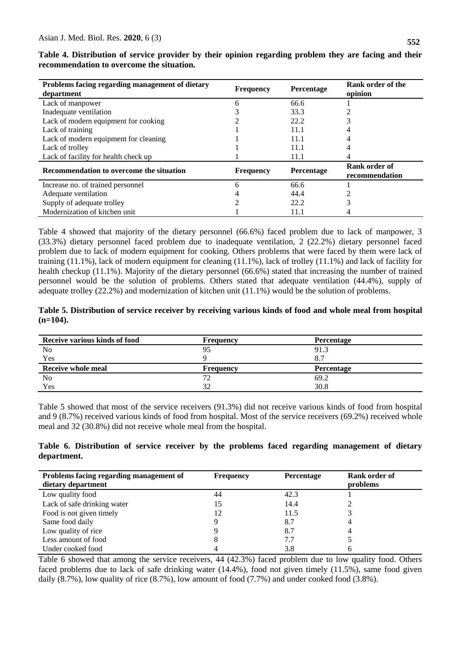| Problems facing regarding management of dietary<br>department | <b>Frequency</b> | Percentage | Rank order of the<br>opinion    |
|---------------------------------------------------------------|------------------|------------|---------------------------------|
| Lack of manpower                                              | 6                | 66.6       |                                 |
| Inadequate ventilation                                        |                  | 33.3       |                                 |
| Lack of modern equipment for cooking                          |                  | 22.2       | 3                               |
| Lack of training                                              |                  | 11.1       |                                 |
| Lack of modern equipment for cleaning                         |                  | 11.1       |                                 |
| Lack of trolley                                               |                  | 11.1       | 4                               |
| Lack of facility for health check up                          |                  | 11.1       | 4                               |
| Recommendation to overcome the situation                      | <b>Frequency</b> | Percentage | Rank order of<br>recommendation |
| Increase no. of trained personnel                             | 6                | 66.6       |                                 |
| Adequate ventilation                                          |                  | 44.4       |                                 |
| Supply of adequate trolley                                    |                  | 22.2       | 3                               |
| Modernization of kitchen unit                                 |                  | 11.1       |                                 |

**Table 4. Distribution of service provider by their opinion regarding problem they are facing and their recommendation to overcome the situation.** 

Table 4 showed that majority of the dietary personnel (66.6%) faced problem due to lack of manpower, 3 (33.3%) dietary personnel faced problem due to inadequate ventilation, 2 (22.2%) dietary personnel faced problem due to lack of modern equipment for cooking. Others problems that were faced by them were lack of training (11.1%), lack of modern equipment for cleaning (11.1%), lack of trolley (11.1%) and lack of facility for health checkup (11.1%). Majority of the dietary personnel (66.6%) stated that increasing the number of trained personnel would be the solution of problems. Others stated that adequate ventilation (44.4%), supply of adequate trolley (22.2%) and modernization of kitchen unit (11.1%) would be the solution of problems.

#### **Table 5. Distribution of service receiver by receiving various kinds of food and whole meal from hospital (n=104).**

| Receive various kinds of food | Frequency | Percentage       |  |
|-------------------------------|-----------|------------------|--|
| N <sub>0</sub>                | 95        | 91.3             |  |
| Yes                           |           | -8. <sup>2</sup> |  |
|                               |           |                  |  |
| <b>Receive whole meal</b>     | Frequency | Percentage       |  |
| N <sub>o</sub>                | 70        | 69.2             |  |

Table 5 showed that most of the service receivers (91.3%) did not receive various kinds of food from hospital and 9 (8.7%) received various kinds of food from hospital. Most of the service receivers (69.2%) received whole meal and 32 (30.8%) did not receive whole meal from the hospital.

**Table 6. Distribution of service receiver by the problems faced regarding management of dietary department.** 

| Problems facing regarding management of<br>dietary department | <b>Frequency</b> | Percentage | Rank order of<br>problems |
|---------------------------------------------------------------|------------------|------------|---------------------------|
| Low quality food                                              | 44               | 42.3       |                           |
| Lack of safe drinking water                                   | 15               | 14.4       |                           |
| Food is not given timely                                      | 12               | 11.5       |                           |
| Same food daily                                               |                  | 8.7        |                           |
| Low quality of rice                                           |                  | 8.7        | 4                         |
| Less amount of food                                           | δ                | 7.7        |                           |
| Under cooked food                                             |                  | 3.8        |                           |

Table 6 showed that among the service receivers, 44 (42.3%) faced problem due to low quality food. Others faced problems due to lack of safe drinking water (14.4%), food not given timely (11.5%), same food given daily (8.7%), low quality of rice (8.7%), low amount of food (7.7%) and under cooked food (3.8%).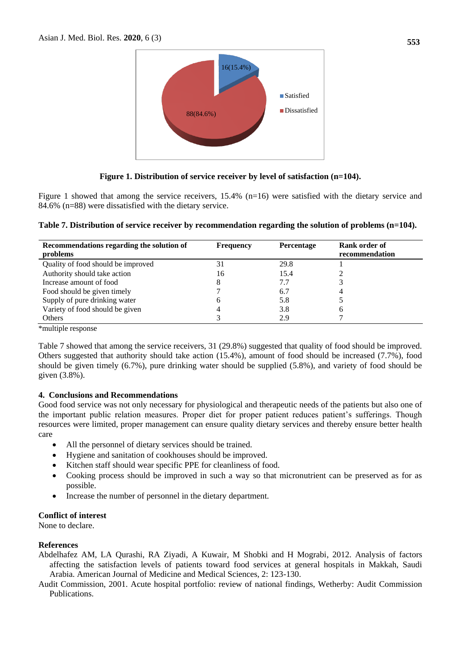

**Figure 1. Distribution of service receiver by level of satisfaction (n=104).**

Figure 1 showed that among the service receivers, 15.4% (n=16) were satisfied with the dietary service and 84.6% (n=88) were dissatisfied with the dietary service.

| Recommendations regarding the solution of<br>problems | <b>Frequency</b> | <b>Percentage</b> | Rank order of<br>recommendation |
|-------------------------------------------------------|------------------|-------------------|---------------------------------|
| Quality of food should be improved                    | 31               | 29.8              |                                 |
| Authority should take action                          | 16               | 15.4              |                                 |
| Increase amount of food                               |                  | 7.7               |                                 |
| Food should be given timely                           |                  | 6.7               |                                 |
| Supply of pure drinking water                         | h                | 5.8               |                                 |
| Variety of food should be given                       |                  | 3.8               |                                 |
| Others                                                |                  | 2.9               |                                 |

**Table 7. Distribution of service receiver by recommendation regarding the solution of problems (n=104).**

\*multiple response

Table 7 showed that among the service receivers, 31 (29.8%) suggested that quality of food should be improved. Others suggested that authority should take action (15.4%), amount of food should be increased (7.7%), food should be given timely (6.7%), pure drinking water should be supplied (5.8%), and variety of food should be given (3.8%).

# **4. Conclusions and Recommendations**

Good food service was not only necessary for physiological and therapeutic needs of the patients but also one of the important public relation measures. Proper diet for proper patient reduces patient's sufferings. Though resources were limited, proper management can ensure quality dietary services and thereby ensure better health care

- All the personnel of dietary services should be trained.
- Hygiene and sanitation of cookhouses should be improved.
- Kitchen staff should wear specific PPE for cleanliness of food.
- Cooking process should be improved in such a way so that micronutrient can be preserved as for as possible.
- Increase the number of personnel in the dietary department.

# **Conflict of interest**

None to declare.

# **References**

- Abdelhafez AM, LA Qurashi, RA Ziyadi, A Kuwair, M Shobki and H Mograbi, 2012. Analysis of factors affecting the satisfaction levels of patients toward food services at general hospitals in Makkah, Saudi Arabia. American Journal of Medicine and Medical Sciences, 2: 123-130.
- Audit Commission, 2001. Acute hospital portfolio: review of national findings, Wetherby: Audit Commission Publications.